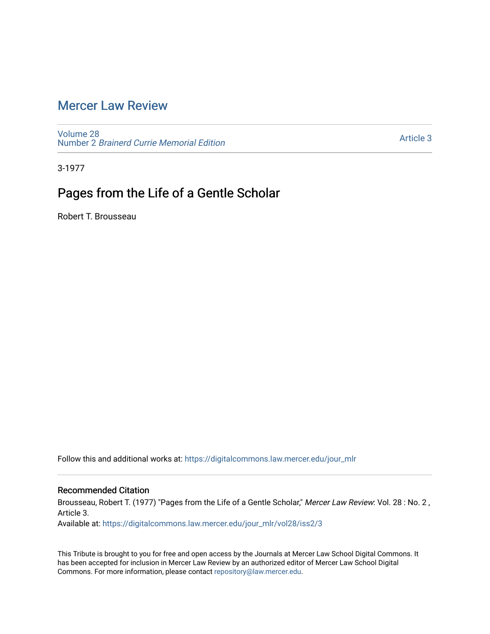## [Mercer Law Review](https://digitalcommons.law.mercer.edu/jour_mlr)

[Volume 28](https://digitalcommons.law.mercer.edu/jour_mlr/vol28) Number 2 [Brainerd Currie Memorial Edition](https://digitalcommons.law.mercer.edu/jour_mlr/vol28/iss2) 

[Article 3](https://digitalcommons.law.mercer.edu/jour_mlr/vol28/iss2/3) 

3-1977

## Pages from the Life of a Gentle Scholar

Robert T. Brousseau

Follow this and additional works at: [https://digitalcommons.law.mercer.edu/jour\\_mlr](https://digitalcommons.law.mercer.edu/jour_mlr?utm_source=digitalcommons.law.mercer.edu%2Fjour_mlr%2Fvol28%2Fiss2%2F3&utm_medium=PDF&utm_campaign=PDFCoverPages)

## Recommended Citation

Brousseau, Robert T. (1977) "Pages from the Life of a Gentle Scholar," Mercer Law Review: Vol. 28 : No. 2, Article 3.

Available at: [https://digitalcommons.law.mercer.edu/jour\\_mlr/vol28/iss2/3](https://digitalcommons.law.mercer.edu/jour_mlr/vol28/iss2/3?utm_source=digitalcommons.law.mercer.edu%2Fjour_mlr%2Fvol28%2Fiss2%2F3&utm_medium=PDF&utm_campaign=PDFCoverPages)

This Tribute is brought to you for free and open access by the Journals at Mercer Law School Digital Commons. It has been accepted for inclusion in Mercer Law Review by an authorized editor of Mercer Law School Digital Commons. For more information, please contact [repository@law.mercer.edu.](mailto:repository@law.mercer.edu)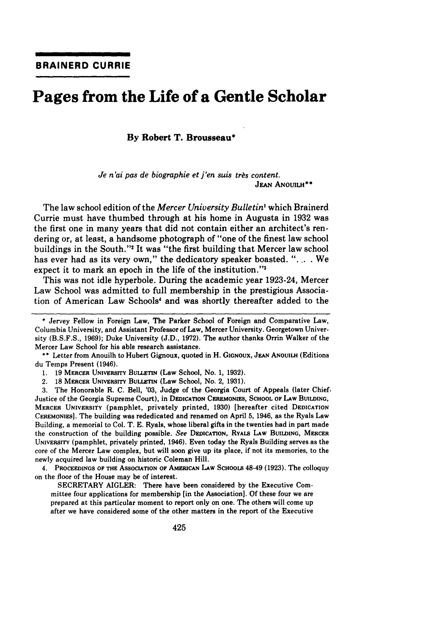## **Pages from the Life of a Gentle Scholar**

**By Robert T. Brousseau\***

*Je n'ai pas de biographie et j'en suis très content.* JEAN ANOUILH\*\*

The law school edition of the *Mercer University Bulletin'* which Brainerd Currie must have thumbed through at his home in Augusta in 1932 was the first one in many years that did not contain either an architect's rendering or, at least, a handsome photograph of "one of the finest law school buildings in the South."2 It was "the first building that Mercer law school has ever had as its very own," the dedicatory speaker boasted. "... We expect it to mark an epoch in the life of the institution."'

This was not idle hyperbole. During the academic year 1923-24, Mercer Law School was admitted to full membership in the prestigious Association of American Law Schools' and was shortly thereafter added to the

**\*\*** Letter from Anouilh to Hubert Gignoux, quoted in H. **GIGNOUX, JEAN** ANoulLH (Editions du Temps Present (1946).

1. 19 MERCER UNIVERSITY BULLETIN (Law School, No. 1, 1932).

2. **18 MERCER UNIVERSITY BULLETIN (Law School, No. 2, 1931).** 

3. The Honorable R. C. Bell, **'03,** Judge of the Georgia Court of Appeals (later Chief, Justice of the Georgia Supreme Court), in DEDICATION **CEREMONIES,** SCHOOL OF LAw **BUILDING,** MERCER UNIVERSITY (pamphlet, privately printed, 1930) [hereafter cited **DEDICATION CEREMONIES].** The building was rededicated and renamed on April 5, 1946, as the Ryals Law Building, a memorial to Col. T. E. Ryals, whose liberal gifts in the twenties had in part made the construction of the building possible. *See* **DEDICATION,** RYALS LAW BUILDING, MERCER UNIVERSITY (pamphlet, privately printed, 1946). Even today the Ryals Building serves as the core of the Mercer Law complex, but will soon give up its place, if not its memories, to the newly acquired law building on historic Coleman Hill.

4. **PROCEEDINGS OF THE ASSOCIATION** OF AMERICAN **LAw SCHOOLS** 48-49 **(1923).** The colloquy on the floor of the House may be of interest.

SECRETARY AIGLER: There have been considered **by** the Executive Committee four applications for membership **[in** the Association]. **Of** these four we are prepared at this particular moment to report only on one. The others will come up after we have considered some of the other matters in the report of the Executive

**<sup>\*</sup>** Jervey Fellow in Foreign Law, The Parker School of Foreign and Comparative Law, Columbia University, and Assistant Professor of Law, Mercer University. Georgetown University **(B.S.F.S., 1969);** Duke University **(J.D., 1972).** The author thanks Orrin Walker of the Mercer Law School for his able research assistance.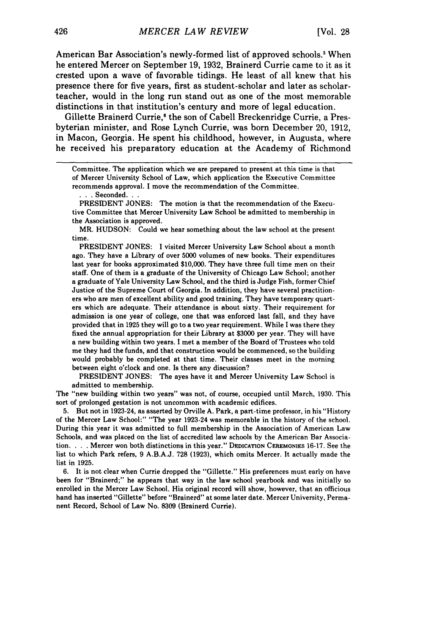American Bar Association's newly-formed list of approved schools.' When he entered Mercer on September 19, 1932, Brainerd Currie came to it as it crested upon a wave of favorable tidings. He least of all knew that his presence there for five years, first as student-scholar and later as scholarteacher, would in the long run stand out as one of the most memorable distinctions in that institution's century and more of legal education.

Gillette Brainerd Currie,' the son of Cabell Breckenridge Currie, a Presbyterian minister, and Rose Lynch Currie, was born December 20, 1912, in Macon, Georgia. He spent his childhood, however, in Augusta, where he received his preparatory education at the Academy of Richmond

PRESIDENT JONES: The motion is that the recommendation of the Executive Committee that Mercer University Law School be admitted to membership in the Association is approved.

MR. HUDSON: Could we hear something about the law school at the present time.

PRESIDENT JONES: I visited Mercer University Law School about a month ago. They have a Library of over 5000 volumes of new books. Their expenditures last year for books approximated \$10,000. They have three full time men on their staff. One of them is a graduate of the University of Chicago Law School; another a graduate of Yale University Law School, and the third is Judge Fish, former Chief Justice of the Supreme Court of Georgia. In addition, they have several practitioners who are men of excellent ability and good training. They have temporary quarters which are adequate. Their attendance is about sixty. Their requirement for admission is one year of college, one that was enforced last fall, and they have provided that in 1925 they will go to a two year requirement. While I was there they fixed the annual appropriation for their Library at **\$3000** per year. They will have a new building within two years. I met a member of the Board of Trustees who told me they had the funds, and that construction would be commenced, so the building would probably be completed at that time. Their classes meet in the morning between eight o'clock and one. Is there any discussion?

PRESIDENT JONES: The ayes have it and Mercer University Law School is admitted to membership.

The "new building within two years" was not, of course, occupied until March, 1930. This sort of prolonged gestation is not uncommon with academic edifices.

5. But not in 1923-24, as asserted by Orville A. Park, a part-time professor, in his "History of the Mercer Law School:" "The year 1923-24 was memorable in the history of the school. During this year it was admitted to full membership in the Association of American Law Schools, and was placed on the list of accredited law schools by the American Bar Association. . **.** . Mercer won both distinctions in this year." **DEDICATION CEREMONIES** 16-17. See the list to which Park refers, 9 A.B.A.J. 728 (1923), which omits Mercer. It actually made the list in 1925.

6. It is not clear when Currie dropped the "Gillette." His preferences must early on have been for "Brainerd;" he appears that way in the law school yearbook and was initially so enrolled in the Mercer Law School. His original record will show, however, that an officious hand has inserted "Gillette" before "Brainerd" at some later date. Mercer University, Permanent Record, School of Law No. 8309 (Brainerd Currie).

Committee. The application which we are prepared to present at this time is that of Mercer University School of Law, which application the Executive Committee recommends approval. I move the recommendation of the Committee.

**<sup>• ..</sup>**Seconded. **..**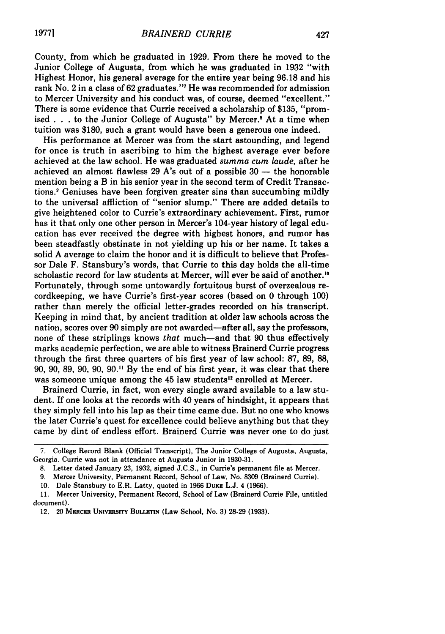County, from which he graduated in **1929.** From there he moved to the Junior College of Augusta, from which he was graduated in **1932** "with Highest Honor, his general average for the entire year being **96.18** and his rank No. 2 in a class of **62** graduates."' He was recommended for admission to Mercer University and his conduct was, of course, deemed "excellent." There is some evidence that Currie received a scholarship of **\$135,** "promised **. . .**to the Junior College of Augusta" **by** Mercer.' At a time when tuition was **\$180,** such a grant would have been a generous one indeed.

His performance at Mercer was from the start astounding, and legend for once is truth in ascribing to him the highest average ever before achieved at the law school. He was graduated *summa cum laude,* after he achieved an almost flawless **29** A's out of a possible **30 -** the honorable mention being a B in his senior year in the second term of Credit Transactions.' Geniuses have been forgiven greater sins than succumbing mildly to the universal affliction of "senior slump." There are added details to give heightened color to Currie's extraordinary achievement. First, rumor has it that only one other person in Mercer's 104-year history of legal education has ever received the degree with highest honors, and rumor has been steadfastly obstinate in not yielding up his or her name. It takes a solid **A** average to claim the honor and it is difficult to believe that Professor Dale F. Stansbury's words, that Currie to this day holds the all-time scholastic record for law students at Mercer, will ever be said of another.<sup>10</sup> Fortunately, through some untowardly fortuitous burst of overzealous recordkeeping, we have Currie's first-year scores (based on 0 through 100) rather than merely the official letter-grades recorded on his transcript. Keeping in mind that, by ancient tradition at older law schools across the nation, scores over 90 simply are not awarded-after all, say the professors, none of these striplings knows *that* much-and that 90 thus effectively marks academic perfection, we are able to witness Brainerd Currie progress through the first three quarters of his first year of law school: 87, 89, 88, 90, 90, 89, 90, 90, 90." By the end of his first year, it was clear that there was someone unique among the 45 law students<sup>12</sup> enrolled at Mercer.

Brainerd Currie, in fact, won every single award available to a law student. If one looks at the records with 40 years of hindsight, it appears that they simply fell into his lap as their time came due. But no one who knows the later Currie's quest for excellence could believe anything but that they came by dint of endless effort. Brainerd Currie was never one to do just

*10.* Dale Stansbury to E.R. Latty, quoted in 1966 **DUKE** L.J. 4 (1966).

**<sup>7.</sup>** College Record Blank (Official Transcript), The Junior College of Augusta, Augusta, Georgia. Currie was not in attendance at Augusta Junior in 1930-31.

<sup>8.</sup> Letter dated January 23, 1932, signed J.C.S., in Currie's permanent file at Mercer.

<sup>9.</sup> Mercer University, Permanent Record, School of Law, No. 8309 (Brainerd Currie).

<sup>11.</sup> Mercer University, Permanent Record, School of Law (Brainerd Currie File, untitled document).

<sup>12. 20</sup> **MERCER UNivERSrry BuLLETIN** (Law School, No. **3)** 28-29 (1933).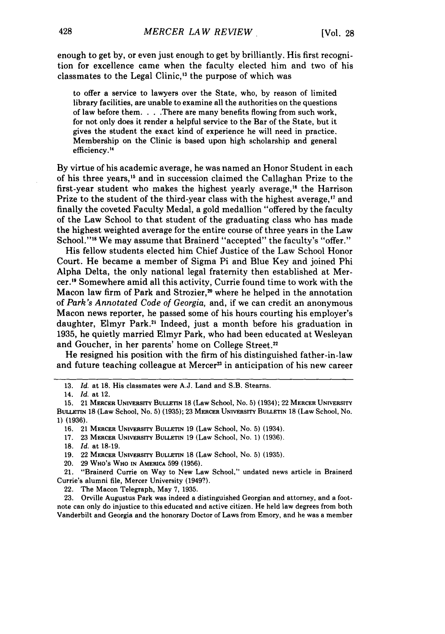enough to get by, or even just enough to get by brilliantly. His first recognition for excellence came when the faculty elected him and two of his classmates to the Legal Clinic,'3 the purpose of which was

to offer a service to lawyers over the State, who, by reason of limited library facilities, are unable to examine all the authorities on the questions of law before them. . . .There are many benefits flowing from such work, for not only does it render a helpful service to the Bar of the State, but it gives the student the exact kind of experience he will need in practice. Membership on the Clinic is based upon high scholarship and general efficiency."

By virtue of his academic average, he was named an Honor Student in each of his three years,'5 and in succession claimed the Callaghan Prize to the first-year student who makes the highest yearly average,<sup>16</sup> the Harrison Prize to the student of the third-year class with the highest average,<sup>17</sup> and finally the coveted Faculty Medal, a gold medallion "offered by the faculty of the Law School to that student of the graduating class who has made the highest weighted average for the entire course of three years in the Law School."<sup>18</sup> We may assume that Brainerd "accepted" the faculty's "offer."

His fellow students elected him Chief Justice of the Law School Honor Court. He became a member of Sigma Pi and Blue Key and joined Phi Alpha Delta, the only national legal fraternity then established at Mercer.'1 Somewhere amid all this activity, Currie found time to work with the Macon law firm of Park and Strozier,<sup>20</sup> where he helped in the annotation of *Park's Annotated Code of Georgia,* and, if we can credit an anonymous Macon news reporter, he passed some of his hours courting his employer's daughter, Elmyr Park.<sup>21</sup> Indeed, just a month before his graduation in 1935, he quietly married Elmyr Park, who had been educated at Wesleyan and Goucher, in her parents' home on College Street.<sup>22</sup>

He resigned his position with the firm of his distinguished father-in-law and future teaching colleague at Mercer<sup>23</sup> in anticipation of his new career

20. 29 WHO'S WHO **IN** AMERICA 599 **(1956).**

23. Orville Augustus Park was indeed a distinguished Georgian and attorney, and a footnote can only do injustice to this educated and active citizen. He held law degrees from both Vanderbilt and Georgia and the honorary Doctor of Laws from Emory, and he was a member

<sup>13.</sup> *Id.* at 18. His classmates were A.J. Land and S.B. Stearns.

<sup>14.</sup> *Id.* at 12.

<sup>15. 21</sup> **MERCER UNIVERSITY BULLETIN** 18 (Law School, No. 5) (1934); 22 MERCER **UNIVERSITY BULLETIN 18** (Law School, No. **5) (1935); 23 MERCER UNIVERSITY BULLETIN 18** (Law School, No. **1) (1936).**

**<sup>16.</sup>** 21 MERCER UNIVERSrrY BULLETIN 19 (Law School, No. 5) (1934).

<sup>17.</sup> **23** MERCER UNIVERSITY **BULLETIN** 19 (Law School, No. **1) (1936).**

<sup>18.</sup> *Id.* at 18-19.

<sup>19. 22</sup> MERCER UNIVERSITY **BULLETIN** 18 (Law School, No. 5) (1935).

<sup>21. &</sup>quot;Brainerd Currie on Way to New Law School," undated news article in Brainerd Currie's alumni file, Mercer University (1949?).

<sup>22.</sup> The Macon Telegraph, May 7, 1935.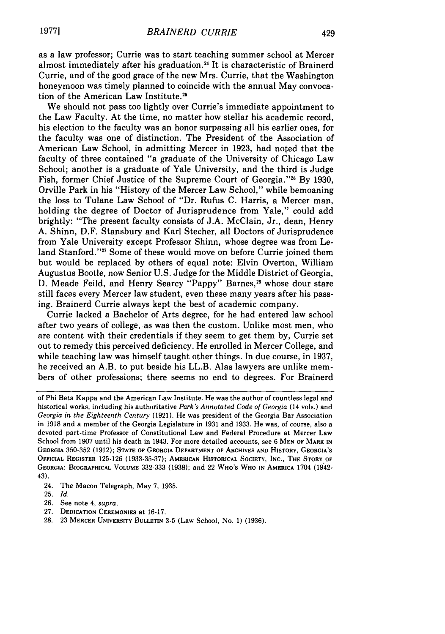as a law professor; Currie was to start teaching summer school at Mercer almost immediately after his graduation.<sup>24</sup> It is characteristic of Brainerd Currie, and of the good grace of the new Mrs. Currie, that the Washington honeymoon was timely planned to coincide with the annual May convocation of the American Law Institute.<sup>25</sup>

We should not pass too lightly over Currie's immediate appointment to the Law Faculty. At the time, no matter how stellar his academic record, his election to the faculty was an honor surpassing all his earlier ones, for the faculty was one of distinction. The President of the Association of American Law School, in admitting Mercer in 1923, had noted that the faculty of three contained "a graduate of the University of Chicago Law School; another is a graduate of Yale University, and the third is Judge Fish, former Chief Justice of the Supreme Court of Georgia."26 By 1930, Orville Park in his "History of the Mercer Law School," while bemoaning the loss to Tulane Law School of "Dr. Rufus C. Harris, a Mercer man, holding the degree of Doctor of Jurisprudence from Yale," could add brightly: "The present faculty consists of J.A. McClain, Jr., dean, Henry A. Shinn, D.F. Stansbury and Karl Stecher, all Doctors of Jurisprudence from Yale University except Professor Shinn, whose degree was from Leland Stanford."<sup>27</sup> Some of these would move on before Currie joined them but would be replaced by others of equal note: Elvin Overton, William Augustus Bootle, now Senior U.S. Judge for the Middle District of Georgia, D. Meade Feild, and Henry Searcy "Pappy" Barnes,<sup>28</sup> whose dour stare still faces every Mercer law student, even these many years after his passing. Brainerd Currie always kept the best of academic company.

Currie lacked a Bachelor of Arts degree, for he had entered law school after two years of college, as was then the custom. Unlike most men, who are content with their credentials if they seem to get them by, Currie set out to remedy this perceived deficiency. He enrolled in Mercer College, and while teaching law was himself taught other things. In due course, in 1937, he received an A.B. to put beside his LL.B. Alas lawyers are unlike members of other professions; there seems no end to degrees. For Brainerd

- 24. The Macon Telegraph, May 7, 1935.
- 25. *Id.*
- 26. See note 4, *supra.*
- 27. DEDICATION **CEREMONIES** at 16-17.
- 28. 23 MERCER **UNIVERSITY BULLETIN** 3-5 (Law School, No. 1) (1936).

of Phi Beta Kappa and the American Law Institute. He was the author of countless legal and historical works, including his authoritative *Park's Annotated Code of Georgia* (14 vols.) and *Georgia in the Eighteenth Century* (1921). He was president of the Georgia Bar Association in 1918 and a member of the Georgia Legislature in 1931 and 1933. He was, of course, also a devoted part-time Professor of Constitutional Law and Federal Procedure at Mercer Law School from 1907 until his death in 1943. For more detailed accounts, see 6 **MEN OF** MARK **IN GEORGIA** 350-352 (1912); **STATE** OF **GEORGIA** DEPARTMENT **OF ARCHIVES AND HISTORY, GEORGIA'S OFFICIAL** REGISTER 125-126 (1933-35-37); AMERICAN HISTORICAL **SOCIETY, INC., THE STORY OF GEORGIA:** BIOGRAPHICAL **VOLUME** 332-333 (1938); and 22 WHO'S **WHO IN AMERICA** 1704 (1942- 43).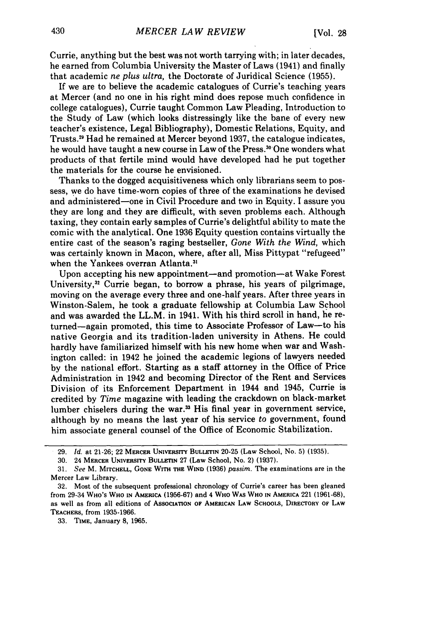Currie, anything but the best was not worth tarrying with; in later decades, he earned from Columbia University the Master of Laws (1941) and finally that academic *ne plus ultra,* the Doctorate of Juridical Science (1955).

If we are to believe the academic catalogues of Currie's teaching years at Mercer (and no one in his right mind does repose much confidence in college catalogues), Currie taught Common Law Pleading, Introduction to the Study of Law (which looks distressingly like the bane of every new teacher's existence, Legal Bibliography), Domestic Relations, Equity, and Trusts.<sup>29</sup> Had he remained at Mercer beyond 1937, the catalogue indicates, he would have taught a new course in Law of the Press.<sup>30</sup> One wonders what products of that fertile mind would have developed had he put together the materials for the course he envisioned.

Thanks to the dogged acquisitiveness which only librarians seem to possess, we do have time-worn copies of three of the examinations he devised and administered-one in Civil Procedure and two in Equity. I assure you they are long and they are difficult, with seven problems each. Although taxing, they contain early samples of Currie's delightful ability to mate the comic with the analytical. One 1936 Equity question contains virtually the entire cast of the season's raging bestseller, *Gone With the Wind,* which was certainly known in Macon, where, after all, Miss Pittypat "refugeed" when the Yankees overran Atlanta **. 3**

Upon accepting his new appointment—and promotion—at Wake Forest University,<sup>32</sup> Currie began, to borrow a phrase, his years of pilgrimage, moving on the average every three and one-half years. After three years in Winston-Salem, he took a graduate fellowship at Columbia Law School and was awarded the LL.M. in 1941. With his third scroll in hand, he returned-again promoted, this time to Associate Professor of Law-to his native Georgia and its tradition-laden university in Athens. He could hardly have familiarized himself with his new home when war and Washington called: in 1942 he joined the academic legions of lawyers needed by the national effort. Starting as a staff attorney in the Office of Price Administration in 1942 and becoming Director of the Rent and Services Division of its Enforcement Department in 1944 and 1945, Currie is credited by *Time* magazine with leading the crackdown on black-market lumber chiselers during the war.<sup>33</sup> His final year in government service, although by no means the last year of his service to government, found him associate general counsel of the Office of Economic Stabilization.

**33. TIME,** January **8, 1965.**

**<sup>29.</sup>** *Id.* at 21-26; 22 **MERCER** UNIvERsrry **BULLETIN 20-25** (Law School, No. **5) (1935).**

**<sup>30.</sup>** 24 **MERCER UNIVERSITY BULLETIN 27** (Law School, No. 2) **(1937).**

**<sup>31.</sup>** *See* M. **MITCHELL, GONE WITH THE WIND (1936)** *passim.* The examinations are in the Mercer Law Library.

**<sup>32.</sup>** Most of the subsequent professional chronology of Currie's career has been gleaned from 29-34 **WHO's WHO IN AMERICA (1956-67)** and 4 **WHO WAS WHO IN AMERICA** 221 **(1961-68),** as well as from all editions of **ASSOCIATION OF AMERICAN LAW SCHOOLS, DIRECTORY OF LAW TEACHERS,** from **1935-1966.**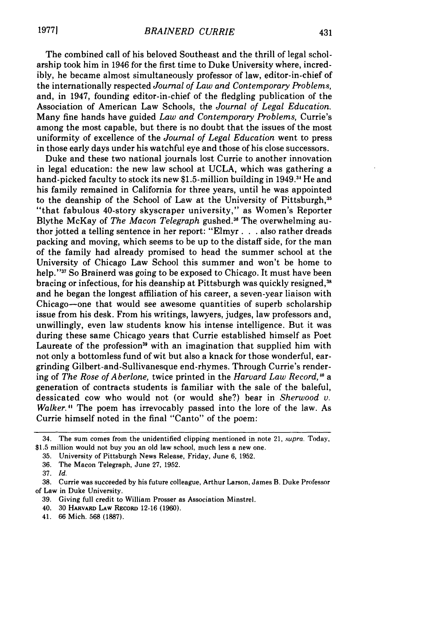The combined call of his beloved Southeast and the thrill of legal scholarship took him in 1946 for the first time to Duke University where, incredibly, he became almost simultaneously professor of law, editor-in-chief of the internationally respected *Journal of Law and Contemporary Problems,* and, in 1947, founding editor-in-chief of the fledgling publication of the Association of American Law Schools, the *Journal of Legal Education.* Many fine hands have guided *Law and Contemporary Problems,* Currie's among the most capable, but there is no doubt that the issues of the most uniformity of excellence of the *Journal of Legal Education* went to press in those early days under his watchful eye and those of his close successors.

Duke and these two national journals lost Currie to another innovation in legal education: the new law school at UCLA, which was gathering a hand-picked faculty to stock its new \$1.5-million building in 1949.<sup>34</sup> He and his family remained in California for three years, until he was appointed to the deanship of the School of Law at the University of Pittsburgh,<sup>35</sup> "that fabulous 40-story skyscraper university," as Women's Reporter Blythe McKay of *The Macon Telegraph* gushed. 36 The overwhelming author jotted a telling sentence in her report: "Elmyr **. .** . also rather dreads packing and moving, which seems to be up to the distaff side, for the man of the family had already promised to head the summer school at the University of Chicago Law School this summer and won't be home to help."<sup>37</sup> So Brainerd was going to be exposed to Chicago. It must have been bracing or infectious, for his deanship at Pittsburgh was quickly resigned,'<sup>6</sup> and he began the longest affiliation of his career, a seven-year liaison with Chicago-one that would see awesome quantities of superb scholarship issue from his desk. From his writings, lawyers, judges, law professors and, unwillingly, even law students know his intense intelligence. But it was during these same Chicago years that Currie established himself as Poet Laureate of the profession<sup>39</sup> with an imagination that supplied him with not only a bottomless fund of wit but also a knack for those wonderful, eargrinding Gilbert-and-Sullivanesque end-rhymes. Through Currie's rendering of *The Rose of Aberlone,* twice printed in the *Harvard Law Record,'" a* generation of contracts students is familiar with the sale of the baleful, dessicated cow who would not (or would she?) bear in *Sherwood v. Walker."* The poem has irrevocably passed into the lore of the law. As Currie himself noted in the final "Canto" of the poem:

- 40. 30 HARVARD **LAw** RECORD 12-16 (1960).
- 41. 66 Mich. 568 (1887).

<sup>34.</sup> The sum comes from the unidentified clipping mentioned in note 21, supra. Today, \$1.5 million would not buy you an old law school, much less a new one.

<sup>35.</sup> University of Pittsburgh News Release, Friday, June 6, 1952.

<sup>36.</sup> The Macon Telegraph, June 27, 1952.

<sup>37.</sup> *Id.*

<sup>38.</sup> Currie was succeeded by his future colleague, Arthur Larson, James B. Duke Professor of Law in Duke University.

<sup>39.</sup> Giving full credit to William Prosser as Association Minstrel.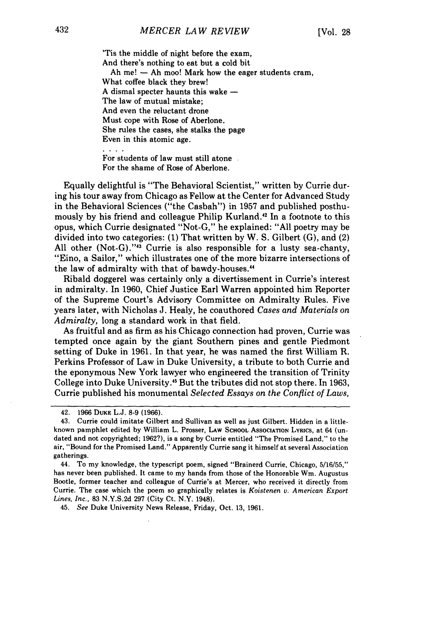'Tis the middle **of** night before the exam, And there's nothing to eat but a cold bit Ah me!  $-$  Ah moo! Mark how the eager students cram, What coffee black they brew! A dismal specter haunts this wake  $-$ The law of mutual mistake; And even the reluctant drone Must cope with Rose of Aberlone. She rules the cases, she stalks the page Even in this atomic age.

For students of law must still atone For the shame of Rose of Aberlone.

Equally delightful is "The Behavioral Scientist," written by Currie during his tour away from Chicago as Fellow at the Center for Advanced Study in the Behavioral Sciences ("the Casbah") in 1957 and published posthumously by his friend and colleague Philip Kurland.<sup>42</sup> In a footnote to this opus, which Currie designated "Not-G," he explained: "All poetry may be divided into two categories: (1) That written by W. S. Gilbert (G), and (2) All other  $(Not-G).$ <sup>743</sup> Currie is also responsible for a lusty sea-chanty, "Eino, a Sailor," which illustrates one of the more bizarre intersections of the law of admiralty with that of bawdy-houses."

Ribald doggerel was certainly only a divertissement in Currie's interest in admiralty. In 1960, Chief Justice Earl Warren appointed him Reporter of the Supreme Court's Advisory Committee on Admiralty Rules. Five years later, with Nicholas J. Healy, he coauthored *Cases and Materials on Admiralty,* long a standard work in that field.

As fruitful and as firm as his Chicago connection had proven, Currie was tempted once again by the giant Southern pines and gentle Piedmont setting of Duke in 1961. In that year, he was named the first William R. Perkins Professor of Law in Duke University, a tribute to both Currie and the eponymous New York lawyer who engineered the transition of Trinity College into Duke University.<sup>45</sup> But the tributes did not stop there. In 1963, Currie published his monumental *Selected Essays on the Conflict of Laws,*

45. *See* Duke University News Release, Friday, Oct. 13, 1961.

<sup>42. 1966</sup> DUKE L.J. 8-9 (1966).

<sup>43.</sup> Currie could imitate Gilbert and Sullivan as well as just Gilbert. Hidden in a littleknown pamphlet edited by William L. Prosser, Law School Association Lyrics, at 64 (undated and not copyrighted; 1962?), is a song by Currie entitled "The Promised Land," to the air, "Bound for the Promised Land." Apparently Currie sang it himself at several Association gatherings.

<sup>44.</sup> To my knowledge, the typescript poem, signed "Brainerd Currie, Chicago, 5/16/55," has never been published. It came to my hands from those of the Honorable Wm. Augustus Bootle, former teacher and colleague of Currie's at Mercer, who received it directly from Currie. The case which the poem so graphically relates is *Koistenen v. American Export Lines, Inc.,* 83 N.Y.S.2d 297 (City Ct. N.Y. 1948).